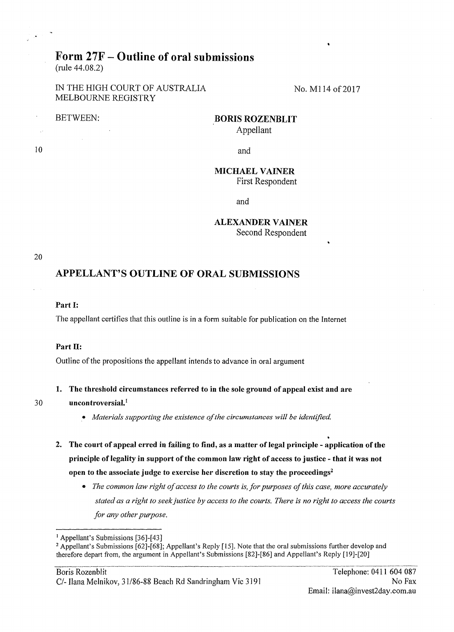# Form 27F- Outline of oral submissions

(rule 44.08.2)

IN THE HIGH COURT OF AUSTRALIA No. M114 of 2017 MELBOURNE REGISTRY

## BETWEEN: BORIS ROZENBLIT

Appellant

10 and

### **MICHAEL VAINER**

First Respondent

and

### **ALEXANDER VAINER**

Second Respondent

20

### APPELLANT'S OUTLINE OF ORAL SUBMISSIONS

#### Part I:

The appellant certifies that this outline is in a form suitable for publication on the Internet

### Part II:

Outline of the propositions the appellant intends to advance in oral argument

### 1. The threshold circumstances referred to in the sole ground of appeal exist and are

### 30 uncontroversial. <sup>1</sup>

- *Materials supporting the existence of the circumstances will be identified*
- 2. The court of appeal erred in failing to find, as a matter of legal principle application of the principle of legality in support of the common law right of access to justice- that it was not open to the associate judge to exercise her discretion to stay the proceedings<sup>2</sup>
	- *The common law right of access to the courts is, for purposes of this case, more accurately stated as a right to seek justice by access to the courts. There is no right to access the courts for any other purpose.*

<sup>&</sup>lt;sup>1</sup> Appellant's Submissions [36]-[43]<br><sup>2</sup> Appellant's Submissions [62]-[68]; Appellant's Reply [15]. Note that the oral submissions further develop and therefore depart from, the argument in Appellant's Submissions [82]-(86] and Appellant's Reply (19]-(20]